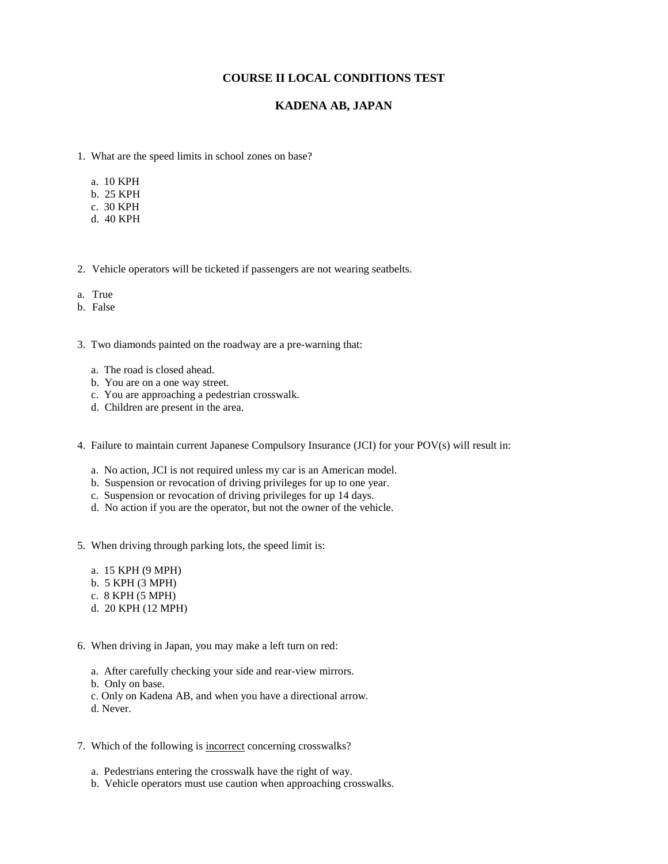## **COURSE II LOCAL CONDITIONS TEST**

## **KADENA AB, JAPAN**

- 1. What are the speed limits in school zones on base?
	- a. 10 KPH
	- b. 25 KPH
	- c. 30 KPH
	- d. 40 KPH
- 2. Vehicle operators will be ticketed if passengers are not wearing seatbelts.
- a. True
- b. False

3. Two diamonds painted on the roadway are a pre-warning that:

- a. The road is closed ahead.
- b. You are on a one way street.
- c. You are approaching a pedestrian crosswalk.
- d. Children are present in the area.
- 4. Failure to maintain current Japanese Compulsory Insurance (JCI) for your POV(s) will result in:
	- a. No action, JCI is not required unless my car is an American model.
	- b. Suspension or revocation of driving privileges for up to one year.
	- c. Suspension or revocation of driving privileges for up 14 days.
	- d. No action if you are the operator, but not the owner of the vehicle.
- 5. When driving through parking lots, the speed limit is:
	- a. 15 KPH (9 MPH)
	- b. 5 KPH (3 MPH)
	- c. 8 KPH (5 MPH)
	- d. 20 KPH (12 MPH)
- 6. When driving in Japan, you may make a left turn on red:
	- a. After carefully checking your side and rear-view mirrors.
	- b. Only on base.
	- c. Only on Kadena AB, and when you have a directional arrow.
	- d. Never.
- 7. Which of the following is incorrect concerning crosswalks?
	- a. Pedestrians entering the crosswalk have the right of way.
	- b. Vehicle operators must use caution when approaching crosswalks.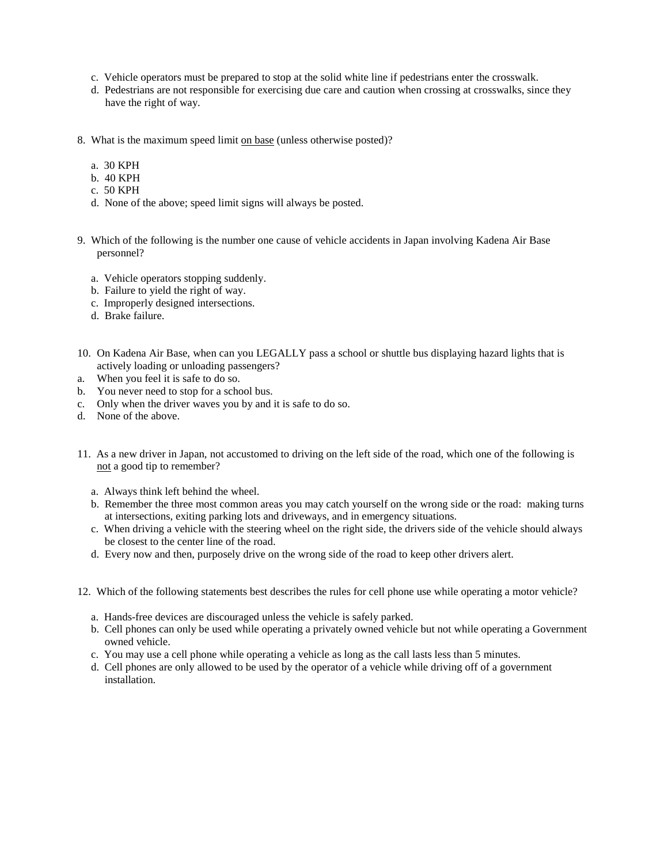- c. Vehicle operators must be prepared to stop at the solid white line if pedestrians enter the crosswalk.
- d. Pedestrians are not responsible for exercising due care and caution when crossing at crosswalks, since they have the right of way.
- 8. What is the maximum speed limit on base (unless otherwise posted)?
	- a. 30 KPH
	- b. 40 KPH
	- c. 50 KPH
	- d. None of the above; speed limit signs will always be posted.
- 9. Which of the following is the number one cause of vehicle accidents in Japan involving Kadena Air Base personnel?
	- a. Vehicle operators stopping suddenly.
	- b. Failure to yield the right of way.
	- c. Improperly designed intersections.
	- d. Brake failure.
- 10. On Kadena Air Base, when can you LEGALLY pass a school or shuttle bus displaying hazard lights that is actively loading or unloading passengers?
- a. When you feel it is safe to do so.
- b. You never need to stop for a school bus.
- c. Only when the driver waves you by and it is safe to do so.
- d. None of the above.
- 11. As a new driver in Japan, not accustomed to driving on the left side of the road, which one of the following is not a good tip to remember?
	- a. Always think left behind the wheel.
	- b. Remember the three most common areas you may catch yourself on the wrong side or the road: making turns at intersections, exiting parking lots and driveways, and in emergency situations.
	- c. When driving a vehicle with the steering wheel on the right side, the drivers side of the vehicle should always be closest to the center line of the road.
	- d. Every now and then, purposely drive on the wrong side of the road to keep other drivers alert.
- 12. Which of the following statements best describes the rules for cell phone use while operating a motor vehicle?
	- a. Hands-free devices are discouraged unless the vehicle is safely parked.
	- b. Cell phones can only be used while operating a privately owned vehicle but not while operating a Government owned vehicle.
	- c. You may use a cell phone while operating a vehicle as long as the call lasts less than 5 minutes.
	- d. Cell phones are only allowed to be used by the operator of a vehicle while driving off of a government installation.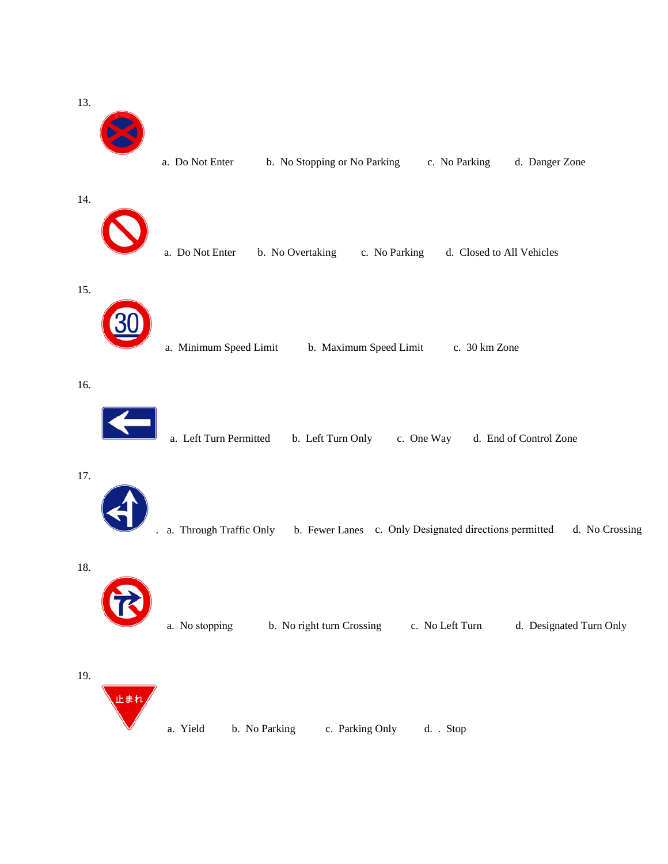13.